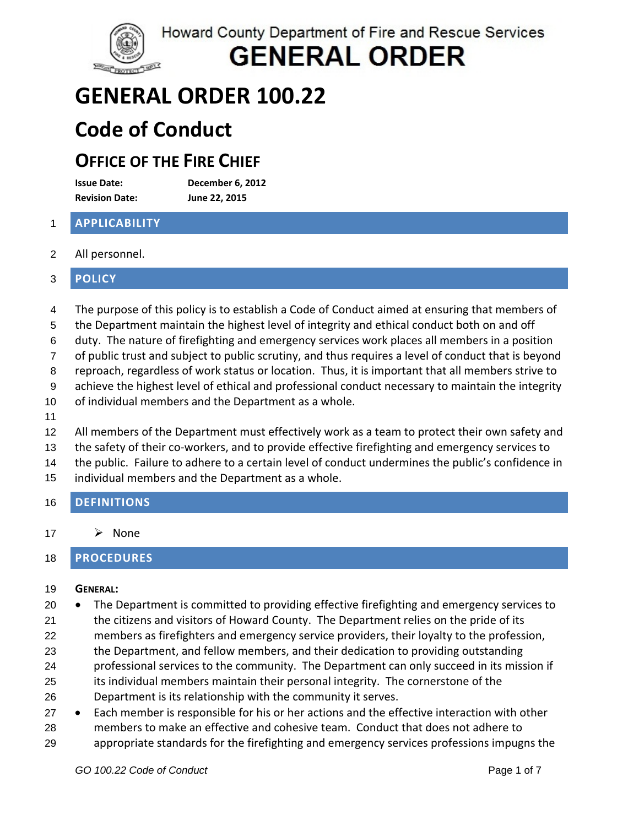Howard County Department of Fire and Rescue Services



**GENERAL ORDER** 

## **GENERAL ORDER 100.22**

## **Code of Conduct**

### **OFFICE OF THE FIRE CHIEF**

**Issue Date: December 6, 2012 Revision Date: June 22, 2015**

### 1 **APPLICABILITY**

2 All personnel.

### 3 **POLICY**

- 4 The purpose of this policy is to establish a Code of Conduct aimed at ensuring that members of
- 5 the Department maintain the highest level of integrity and ethical conduct both on and off
- 6 duty. The nature of firefighting and emergency services work places all members in a position
- 7 of public trust and subject to public scrutiny, and thus requires a level of conduct that is beyond
- 8 reproach, regardless of work status or location. Thus, it is important that all members strive to
- 9 achieve the highest level of ethical and professional conduct necessary to maintain the integrity
- 10 of individual members and the Department as a whole.
- 11
- 12 All members of the Department must effectively work as a team to protect their own safety and
- 13 the safety of their co‐workers, and to provide effective firefighting and emergency services to
- 14 the public. Failure to adhere to a certain level of conduct undermines the public's confidence in
- 15 individual members and the Department as a whole.
- 16 **DEFINITIONS**
- 17  $\triangleright$  None

### 18 **PROCEDURES**

#### 19 **GENERAL:**

- 20 The Department is committed to providing effective firefighting and emergency services to
- 21 the citizens and visitors of Howard County. The Department relies on the pride of its
- 22 members as firefighters and emergency service providers, their loyalty to the profession,
- 23 the Department, and fellow members, and their dedication to providing outstanding
- 24 professional services to the community. The Department can only succeed in its mission if
- 25 26 its individual members maintain their personal integrity. The cornerstone of the Department is its relationship with the community it serves.
- 28 29 27 • Each member is responsible for his or her actions and the effective interaction with other members to make an effective and cohesive team. Conduct that does not adhere to appropriate standards for the firefighting and emergency services professions impugns the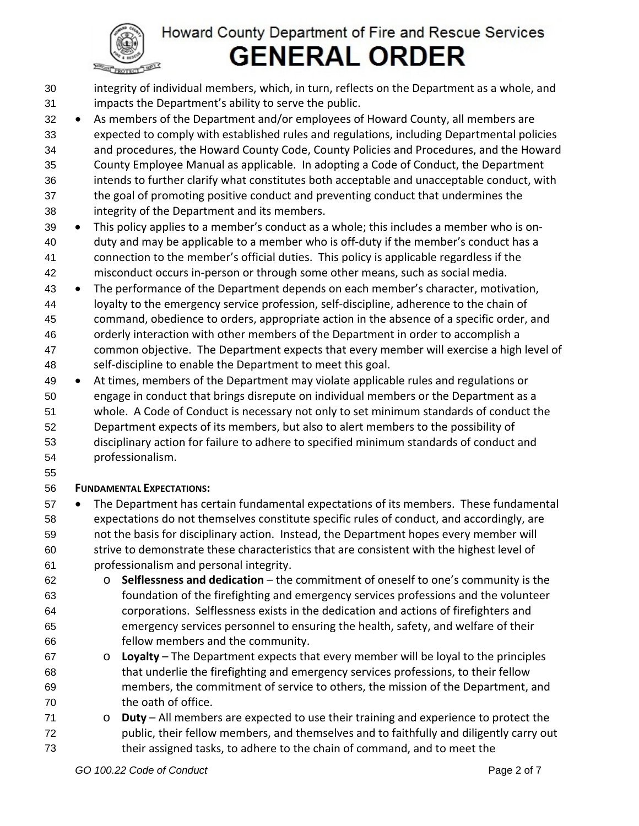

integrity of individual members, which, in turn, reflects on the Department as a whole, and impacts the Department's ability to serve the public. 30 31

33 34 35 36 37 38 32 • As members of the Department and/or employees of Howard County, all members are expected to comply with established rules and regulations, including Departmental policies and procedures, the Howard County Code, County Policies and Procedures, and the Howard County Employee Manual as applicable. In adopting a Code of Conduct, the Department intends to further clarify what constitutes both acceptable and unacceptable conduct, with the goal of promoting positive conduct and preventing conduct that undermines the integrity of the Department and its members.

- 40 41 42 39 • This policy applies to a member's conduct as a whole; this includes a member who is onduty and may be applicable to a member who is off‐duty if the member's conduct has a connection to the member's official duties. This policy is applicable regardless if the misconduct occurs in‐person or through some other means, such as social media.
- 44 45 46 47 48 43 • The performance of the Department depends on each member's character, motivation, loyalty to the emergency service profession, self‐discipline, adherence to the chain of command, obedience to orders, appropriate action in the absence of a specific order, and orderly interaction with other members of the Department in order to accomplish a common objective. The Department expects that every member will exercise a high level of self‐discipline to enable the Department to meet this goal.
- 50 51 52 53 54 49 • At times, members of the Department may violate applicable rules and regulations or engage in conduct that brings disrepute on individual members or the Department as a whole. A Code of Conduct is necessary not only to set minimum standards of conduct the Department expects of its members, but also to alert members to the possibility of disciplinary action for failure to adhere to specified minimum standards of conduct and professionalism.
- 55

#### 56 **FUNDAMENTAL EXPECTATIONS:**

- 58 59 60 61 57 • The Department has certain fundamental expectations of its members. These fundamental expectations do not themselves constitute specific rules of conduct, and accordingly, are not the basis for disciplinary action. Instead, the Department hopes every member will strive to demonstrate these characteristics that are consistent with the highest level of professionalism and personal integrity.
- 62 63 64 65 66 o **Selflessness and dedication** – the commitment of oneself to one's community is the foundation of the firefighting and emergency services professions and the volunteer corporations. Selflessness exists in the dedication and actions of firefighters and emergency services personnel to ensuring the health, safety, and welfare of their fellow members and the community.
- 67 68 69 70 o **Loyalty** – The Department expects that every member will be loyal to the principles that underlie the firefighting and emergency services professions, to their fellow members, the commitment of service to others, the mission of the Department, and the oath of office.
- 71 72 73 o **Duty** – All members are expected to use their training and experience to protect the public, their fellow members, and themselves and to faithfully and diligently carry out their assigned tasks, to adhere to the chain of command, and to meet the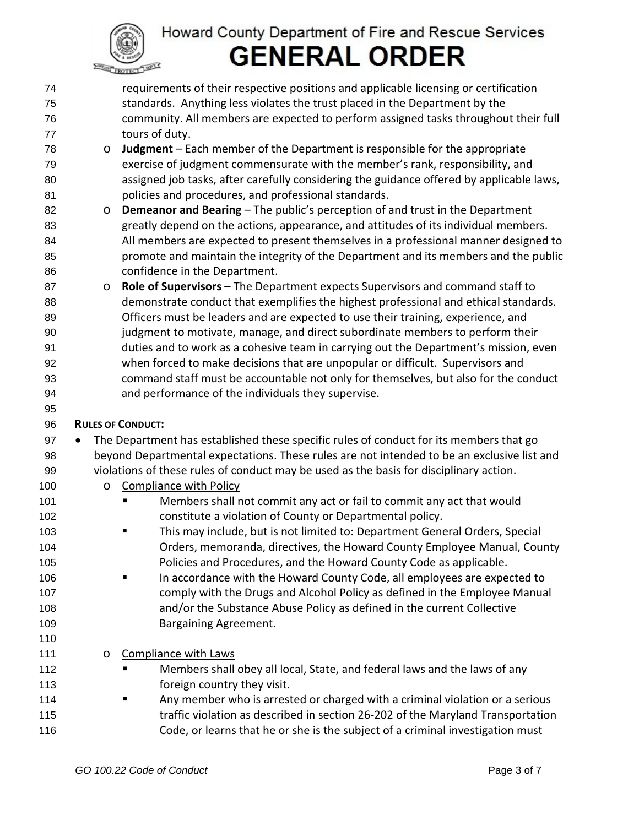

- requirements of their respective positions and applicable licensing or certification standards. Anything less violates the trust placed in the Department by the community. All members are expected to perform assigned tasks throughout their full tours of duty. 74 75 76 77
- 78 79 80 81 o **Judgment** – Each member of the Department is responsible for the appropriate exercise of judgment commensurate with the member's rank, responsibility, and assigned job tasks, after carefully considering the guidance offered by applicable laws, policies and procedures, and professional standards.
- 82 83 84 85 86 o **Demeanor and Bearing** – The public's perception of and trust in the Department greatly depend on the actions, appearance, and attitudes of its individual members. All members are expected to present themselves in a professional manner designed to promote and maintain the integrity of the Department and its members and the public confidence in the Department.
- 87 88 89 90 91 92 93 94 o **Role of Supervisors** – The Department expects Supervisors and command staff to demonstrate conduct that exemplifies the highest professional and ethical standards. Officers must be leaders and are expected to use their training, experience, and judgment to motivate, manage, and direct subordinate members to perform their duties and to work as a cohesive team in carrying out the Department's mission, even when forced to make decisions that are unpopular or difficult. Supervisors and command staff must be accountable not only for themselves, but also for the conduct and performance of the individuals they supervise.

#### 96 **RULES OF CONDUCT:**

95

101 102

110

- 98 99 97 • The Department has established these specific rules of conduct for its members that go beyond Departmental expectations. These rules are not intended to be an exclusive list and violations of these rules of conduct may be used as the basis for disciplinary action.
- 100 o Compliance with Policy
	- Members shall not commit any act or fail to commit any act that would constitute a violation of County or Departmental policy.
- 103 104 105 This may include, but is not limited to: Department General Orders, Special Orders, memoranda, directives, the Howard County Employee Manual, County Policies and Procedures, and the Howard County Code as applicable.
- 106 107 108 109 In accordance with the Howard County Code, all employees are expected to comply with the Drugs and Alcohol Policy as defined in the Employee Manual and/or the Substance Abuse Policy as defined in the current Collective Bargaining Agreement.
- 111 o Compliance with Laws
- 112 113 Members shall obey all local, State, and federal laws and the laws of any foreign country they visit.
- 114 115 116 **Any member who is arrested or charged with a criminal violation or a serious** traffic violation as described in section 26‐202 of the Maryland Transportation Code, or learns that he or she is the subject of a criminal investigation must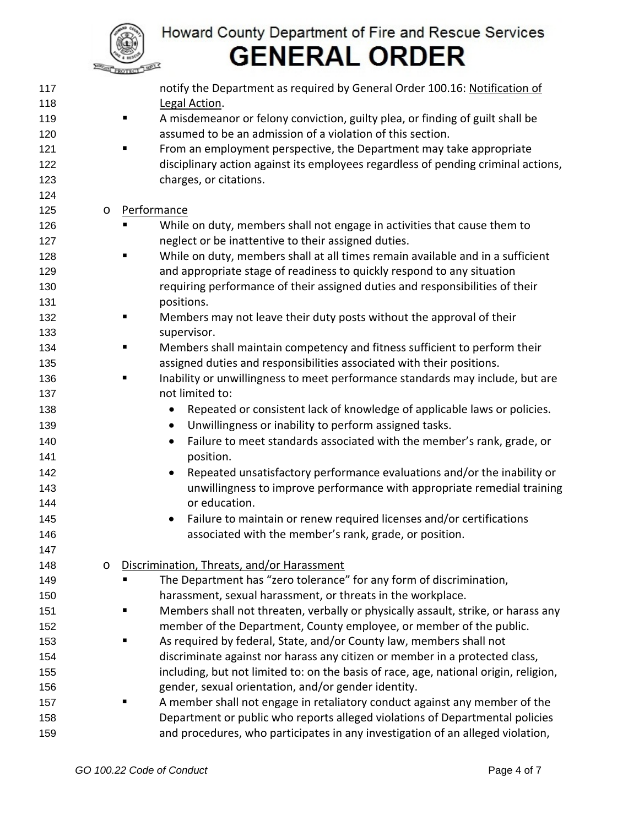

| 117 |         | notify the Department as required by General Order 100.16: Notification of             |
|-----|---------|----------------------------------------------------------------------------------------|
| 118 |         | Legal Action.                                                                          |
| 119 |         | A misdemeanor or felony conviction, guilty plea, or finding of guilt shall be<br>ш     |
| 120 |         | assumed to be an admission of a violation of this section.                             |
| 121 |         | From an employment perspective, the Department may take appropriate<br>٠               |
| 122 |         | disciplinary action against its employees regardless of pending criminal actions,      |
| 123 |         | charges, or citations.                                                                 |
| 124 |         |                                                                                        |
| 125 | $\circ$ | Performance                                                                            |
| 126 |         | While on duty, members shall not engage in activities that cause them to               |
| 127 |         | neglect or be inattentive to their assigned duties.                                    |
| 128 |         | While on duty, members shall at all times remain available and in a sufficient<br>Ξ    |
| 129 |         | and appropriate stage of readiness to quickly respond to any situation                 |
| 130 |         | requiring performance of their assigned duties and responsibilities of their           |
| 131 |         | positions.                                                                             |
| 132 |         | Members may not leave their duty posts without the approval of their<br>п              |
| 133 |         | supervisor.                                                                            |
| 134 |         | Members shall maintain competency and fitness sufficient to perform their<br>٠         |
| 135 |         | assigned duties and responsibilities associated with their positions.                  |
| 136 |         | Inability or unwillingness to meet performance standards may include, but are<br>٠     |
| 137 |         | not limited to:                                                                        |
| 138 |         | Repeated or consistent lack of knowledge of applicable laws or policies.               |
| 139 |         | Unwillingness or inability to perform assigned tasks.<br>$\bullet$                     |
| 140 |         | Failure to meet standards associated with the member's rank, grade, or<br>$\bullet$    |
| 141 |         | position.                                                                              |
| 142 |         | Repeated unsatisfactory performance evaluations and/or the inability or<br>$\bullet$   |
| 143 |         | unwillingness to improve performance with appropriate remedial training                |
| 144 |         | or education.                                                                          |
| 145 |         | Failure to maintain or renew required licenses and/or certifications<br>$\bullet$      |
| 146 |         | associated with the member's rank, grade, or position.                                 |
| 147 |         |                                                                                        |
| 148 | $\circ$ | Discrimination, Threats, and/or Harassment                                             |
| 149 |         | The Department has "zero tolerance" for any form of discrimination,                    |
| 150 |         | harassment, sexual harassment, or threats in the workplace.                            |
| 151 |         | Members shall not threaten, verbally or physically assault, strike, or harass any<br>п |
| 152 |         | member of the Department, County employee, or member of the public.                    |
| 153 |         | As required by federal, State, and/or County law, members shall not                    |
| 154 |         | discriminate against nor harass any citizen or member in a protected class,            |
| 155 |         | including, but not limited to: on the basis of race, age, national origin, religion,   |
| 156 |         | gender, sexual orientation, and/or gender identity.                                    |
| 157 |         | A member shall not engage in retaliatory conduct against any member of the             |
| 158 |         | Department or public who reports alleged violations of Departmental policies           |
| 159 |         | and procedures, who participates in any investigation of an alleged violation,         |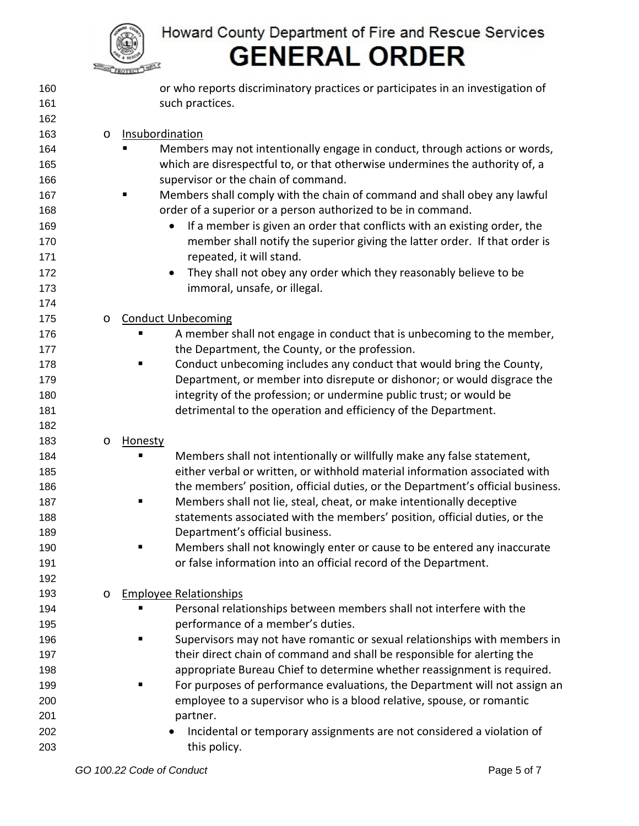

| 160 |         | or who reports discriminatory practices or participates in an investigation of |
|-----|---------|--------------------------------------------------------------------------------|
| 161 |         | such practices.                                                                |
| 162 |         |                                                                                |
| 163 | $\circ$ | Insubordination                                                                |
| 164 |         | Members may not intentionally engage in conduct, through actions or words,     |
| 165 |         | which are disrespectful to, or that otherwise undermines the authority of, a   |
| 166 |         | supervisor or the chain of command.                                            |
| 167 |         | Members shall comply with the chain of command and shall obey any lawful       |
| 168 |         | order of a superior or a person authorized to be in command.                   |
| 169 |         | If a member is given an order that conflicts with an existing order, the       |
| 170 |         | member shall notify the superior giving the latter order. If that order is     |
| 171 |         | repeated, it will stand.                                                       |
| 172 |         | They shall not obey any order which they reasonably believe to be<br>$\bullet$ |
| 173 |         | immoral, unsafe, or illegal.                                                   |
| 174 |         |                                                                                |
| 175 | O       | <b>Conduct Unbecoming</b>                                                      |
| 176 |         | A member shall not engage in conduct that is unbecoming to the member,<br>٠    |
| 177 |         | the Department, the County, or the profession.                                 |
| 178 |         | Conduct unbecoming includes any conduct that would bring the County,<br>٠      |
| 179 |         | Department, or member into disrepute or dishonor; or would disgrace the        |
| 180 |         | integrity of the profession; or undermine public trust; or would be            |
| 181 |         | detrimental to the operation and efficiency of the Department.                 |
| 182 |         |                                                                                |
| 183 | O       | <b>Honesty</b>                                                                 |
| 184 |         | Members shall not intentionally or willfully make any false statement,<br>٠    |
| 185 |         | either verbal or written, or withhold material information associated with     |
| 186 |         | the members' position, official duties, or the Department's official business. |
| 187 |         | Members shall not lie, steal, cheat, or make intentionally deceptive<br>ш      |
| 188 |         | statements associated with the members' position, official duties, or the      |
| 189 |         | Department's official business.                                                |
| 190 |         | Members shall not knowingly enter or cause to be entered any inaccurate        |
| 191 |         | or false information into an official record of the Department.                |
| 192 |         |                                                                                |
| 193 | $\circ$ | <b>Employee Relationships</b>                                                  |
| 194 |         | Personal relationships between members shall not interfere with the<br>п       |
| 195 |         | performance of a member's duties.                                              |
| 196 |         | Supervisors may not have romantic or sexual relationships with members in<br>п |
| 197 |         | their direct chain of command and shall be responsible for alerting the        |
| 198 |         | appropriate Bureau Chief to determine whether reassignment is required.        |
| 199 |         | For purposes of performance evaluations, the Department will not assign an     |
| 200 |         | employee to a supervisor who is a blood relative, spouse, or romantic          |
| 201 |         | partner.                                                                       |
| 202 |         | Incidental or temporary assignments are not considered a violation of          |
| 203 |         | this policy.                                                                   |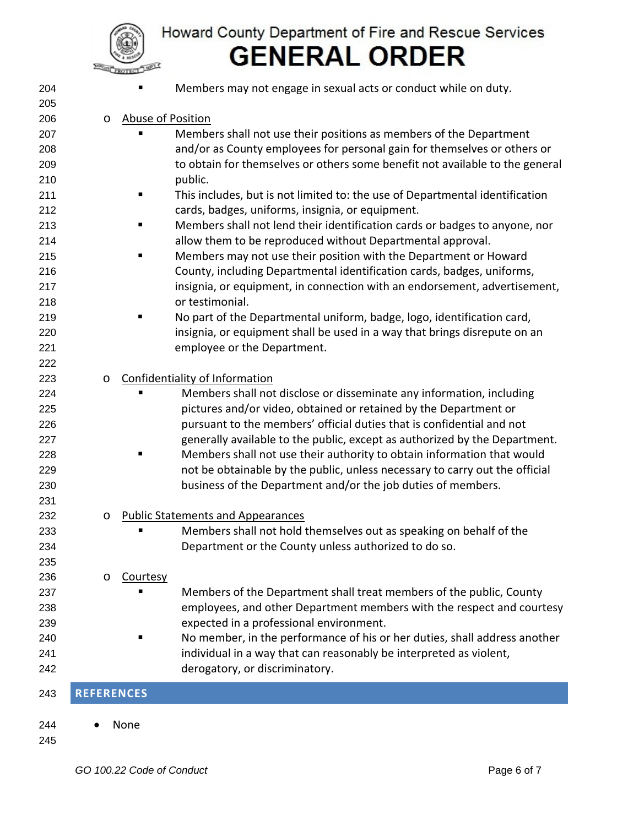

| 204 |                   |                          | Members may not engage in sexual acts or conduct while on duty.              |  |
|-----|-------------------|--------------------------|------------------------------------------------------------------------------|--|
| 205 |                   |                          |                                                                              |  |
| 206 | $\circ$           | <b>Abuse of Position</b> |                                                                              |  |
| 207 |                   |                          | Members shall not use their positions as members of the Department           |  |
| 208 |                   |                          | and/or as County employees for personal gain for themselves or others or     |  |
| 209 |                   |                          | to obtain for themselves or others some benefit not available to the general |  |
| 210 |                   |                          | public.                                                                      |  |
| 211 |                   |                          | This includes, but is not limited to: the use of Departmental identification |  |
| 212 |                   |                          | cards, badges, uniforms, insignia, or equipment.                             |  |
| 213 |                   |                          | Members shall not lend their identification cards or badges to anyone, nor   |  |
| 214 |                   |                          | allow them to be reproduced without Departmental approval.                   |  |
| 215 |                   |                          | Members may not use their position with the Department or Howard             |  |
| 216 |                   |                          | County, including Departmental identification cards, badges, uniforms,       |  |
| 217 |                   |                          | insignia, or equipment, in connection with an endorsement, advertisement,    |  |
| 218 |                   |                          | or testimonial.                                                              |  |
| 219 |                   |                          | No part of the Departmental uniform, badge, logo, identification card,       |  |
| 220 |                   |                          | insignia, or equipment shall be used in a way that brings disrepute on an    |  |
| 221 |                   |                          | employee or the Department.                                                  |  |
| 222 |                   |                          |                                                                              |  |
| 223 | $\circ$           |                          | Confidentiality of Information                                               |  |
| 224 |                   |                          | Members shall not disclose or disseminate any information, including         |  |
| 225 |                   |                          | pictures and/or video, obtained or retained by the Department or             |  |
| 226 |                   |                          | pursuant to the members' official duties that is confidential and not        |  |
| 227 |                   |                          | generally available to the public, except as authorized by the Department.   |  |
| 228 |                   |                          | Members shall not use their authority to obtain information that would       |  |
| 229 |                   |                          | not be obtainable by the public, unless necessary to carry out the official  |  |
| 230 |                   |                          | business of the Department and/or the job duties of members.                 |  |
| 231 |                   |                          |                                                                              |  |
| 232 | $\circ$           |                          | <b>Public Statements and Appearances</b>                                     |  |
| 233 |                   |                          | Members shall not hold themselves out as speaking on behalf of the           |  |
| 234 |                   |                          | Department or the County unless authorized to do so.                         |  |
| 235 |                   |                          |                                                                              |  |
| 236 | $\circ$           | Courtesy                 |                                                                              |  |
| 237 |                   |                          | Members of the Department shall treat members of the public, County          |  |
| 238 |                   |                          | employees, and other Department members with the respect and courtesy        |  |
| 239 |                   |                          | expected in a professional environment.                                      |  |
| 240 |                   |                          | No member, in the performance of his or her duties, shall address another    |  |
| 241 |                   |                          | individual in a way that can reasonably be interpreted as violent,           |  |
| 242 |                   |                          | derogatory, or discriminatory.                                               |  |
| 243 | <b>REFERENCES</b> |                          |                                                                              |  |
|     |                   |                          |                                                                              |  |
| 244 |                   | None                     |                                                                              |  |

245